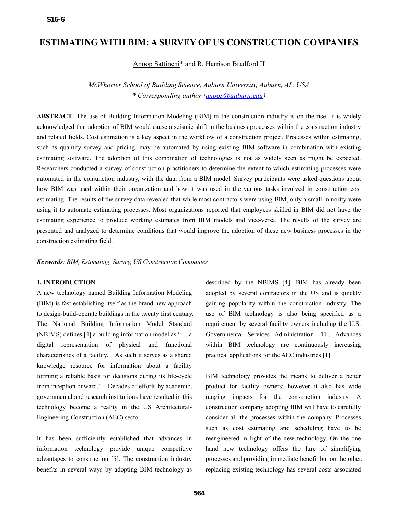# **ESTIMATING WITH BIM: A SURVEY OF US CONSTRUCTION COMPANIES**

Anoop Sattineni\* and R. Harrison Bradford II

*McWhorter School of Building Science, Auburn University, Auburn, AL, USA \* Corresponding author (anoop@auburn.edu)*

**ABSTRACT**: The use of Building Information Modeling (BIM) in the construction industry is on the rise. It is widely acknowledged that adoption of BIM would cause a seismic shift in the business processes within the construction industry and related fields. Cost estimation is a key aspect in the workflow of a construction project. Processes within estimating, such as quantity survey and pricing, may be automated by using existing BIM software in combination with existing estimating software. The adoption of this combination of technologies is not as widely seen as might be expected. Researchers conducted a survey of construction practitioners to determine the extent to which estimating processes were automated in the conjunction industry, with the data from a BIM model. Survey participants were asked questions about how BIM was used within their organization and how it was used in the various tasks involved in construction cost estimating. The results of the survey data revealed that while most contractors were using BIM, only a small minority were using it to automate estimating processes. Most organizations reported that employees skilled in BIM did not have the estimating experience to produce working estimates from BIM models and vice-versa. The results of the survey are presented and analyzed to determine conditions that would improve the adoption of these new business processes in the construction estimating field.

*Keywords: BIM, Estimating, Survey, US Construction Companies* 

### **1. INTRODUCTION**

A new technology named Building Information Modeling (BIM) is fast establishing itself as the brand new approach to design-build-operate buildings in the twenty first century. The National Building Information Model Standard (NBIMS) defines [4] a building information model as "… a digital representation of physical and functional characteristics of a facility. As such it serves as a shared knowledge resource for information about a facility forming a reliable basis for decisions during its life-cycle from inception onward." Decades of efforts by academic, governmental and research institutions have resulted in this technology become a reality in the US Architectural-Engineering-Construction (AEC) sector.

It has been sufficiently established that advances in information technology provide unique competitive advantages to construction [5]. The construction industry benefits in several ways by adopting BIM technology as

described by the NBIMS [4]. BIM has already been adopted by several contractors in the US and is quickly gaining popularity within the construction industry. The use of BIM technology is also being specified as a requirement by several facility owners including the U.S. Governmental Services Administration [11]. Advances within BIM technology are continuously increasing practical applications for the AEC industries [1].

BIM technology provides the means to deliver a better product for facility owners; however it also has wide ranging impacts for the construction industry. A construction company adopting BIM will have to carefully consider all the processes within the company. Processes such as cost estimating and scheduling have to be reengineered in light of the new technology. On the one hand new technology offers the lure of simplifying processes and providing immediate benefit but on the other, replacing existing technology has several costs associated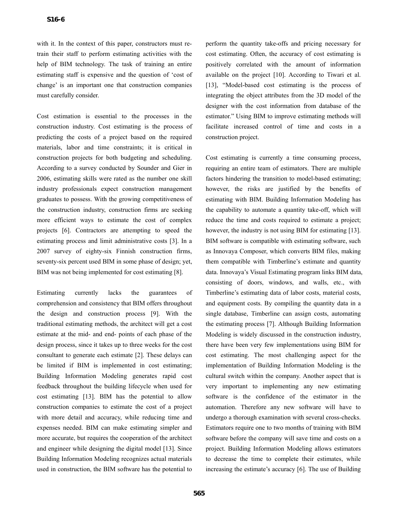with it. In the context of this paper, constructors must retrain their staff to perform estimating activities with the help of BIM technology. The task of training an entire estimating staff is expensive and the question of 'cost of change' is an important one that construction companies must carefully consider.

Cost estimation is essential to the processes in the construction industry. Cost estimating is the process of predicting the costs of a project based on the required materials, labor and time constraints; it is critical in construction projects for both budgeting and scheduling. According to a survey conducted by Sounder and Gier in 2006, estimating skills were rated as the number one skill industry professionals expect construction management graduates to possess. With the growing competitiveness of the construction industry, construction firms are seeking more efficient ways to estimate the cost of complex projects [6]. Contractors are attempting to speed the estimating process and limit administrative costs [3]. In a 2007 survey of eighty-six Finnish construction firms, seventy-six percent used BIM in some phase of design; yet, BIM was not being implemented for cost estimating [8].

Estimating currently lacks the guarantees of comprehension and consistency that BIM offers throughout the design and construction process [9]. With the traditional estimating methods, the architect will get a cost estimate at the mid- and end- points of each phase of the design process, since it takes up to three weeks for the cost consultant to generate each estimate [2]. These delays can be limited if BIM is implemented in cost estimating; Building Information Modeling generates rapid cost feedback throughout the building lifecycle when used for cost estimating [13]. BIM has the potential to allow construction companies to estimate the cost of a project with more detail and accuracy, while reducing time and expenses needed. BIM can make estimating simpler and more accurate, but requires the cooperation of the architect and engineer while designing the digital model [13]. Since Building Information Modeling recognizes actual materials used in construction, the BIM software has the potential to

perform the quantity take-offs and pricing necessary for cost estimating. Often, the accuracy of cost estimating is positively correlated with the amount of information available on the project [10]. According to Tiwari et al. [13], "Model-based cost estimating is the process of integrating the object attributes from the 3D model of the designer with the cost information from database of the estimator." Using BIM to improve estimating methods will facilitate increased control of time and costs in a construction project.

Cost estimating is currently a time consuming process, requiring an entire team of estimators. There are multiple factors hindering the transition to model-based estimating; however, the risks are justified by the benefits of estimating with BIM. Building Information Modeling has the capability to automate a quantity take-off, which will reduce the time and costs required to estimate a project; however, the industry is not using BIM for estimating [13]. BIM software is compatible with estimating software, such as Innovaya Composer, which converts BIM files, making them compatible with Timberline's estimate and quantity data. Innovaya's Visual Estimating program links BIM data, consisting of doors, windows, and walls, etc., with Timberline's estimating data of labor costs, material costs, and equipment costs. By compiling the quantity data in a single database, Timberline can assign costs, automating the estimating process [7]. Although Building Information Modeling is widely discussed in the construction industry, there have been very few implementations using BIM for cost estimating. The most challenging aspect for the implementation of Building Information Modeling is the cultural switch within the company. Another aspect that is very important to implementing any new estimating software is the confidence of the estimator in the automation. Therefore any new software will have to undergo a thorough examination with several cross-checks. Estimators require one to two months of training with BIM software before the company will save time and costs on a project. Building Information Modeling allows estimators to decrease the time to complete their estimates, while increasing the estimate's accuracy [6]. The use of Building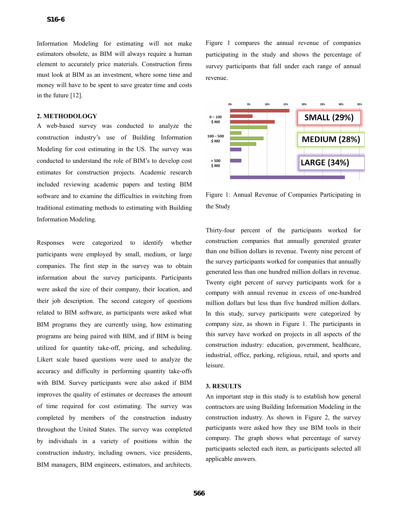Information Modeling for estimating will not make estimators obsolete, as BIM will always require a human element to accurately price materials. Construction firms must look at BIM as an investment, where some time and money will have to be spent to save greater time and costs in the future [12].

## **2. METHODOLOGY**

A web-based survey was conducted to analyze the construction industry's use of Building Information Modeling for cost estimating in the US. The survey was conducted to understand the role of BIM's to develop cost estimates for construction projects. Academic research included reviewing academic papers and testing BIM software and to examine the difficulties in switching from traditional estimating methods to estimating with Building Information Modeling.

Responses were categorized to identify whether participants were employed by small, medium, or large companies. The first step in the survey was to obtain information about the survey participants. Participants were asked the size of their company, their location, and their job description. The second category of questions related to BIM software, as participants were asked what BIM programs they are currently using, how estimating programs are being paired with BIM, and if BIM is being utilized for quantity take-off, pricing, and scheduling. Likert scale based questions were used to analyze the accuracy and difficulty in performing quantity take-offs with BIM. Survey participants were also asked if BIM improves the quality of estimates or decreases the amount of time required for cost estimating. The survey was completed by members of the construction industry throughout the United States. The survey was completed by individuals in a variety of positions within the construction industry, including owners, vice presidents, BIM managers, BIM engineers, estimators, and architects.

Figure 1 compares the annual revenue of companies participating in the study and shows the percentage of survey participants that fall under each range of annual revenue.



Figure 1: Annual Revenue of Companies Participating in the Study

Thirty-four percent of the participants worked for construction companies that annually generated greater than one billion dollars in revenue. Twenty nine percent of the survey participants worked for companies that annually generated less than one hundred million dollars in revenue. Twenty eight percent of survey participants work for a company with annual revenue in excess of one-hundred million dollars but less than five hundred million dollars. In this study, survey participants were categorized by company size, as shown in Figure 1. The participants in this survey have worked on projects in all aspects of the construction industry: education, government, healthcare, industrial, office, parking, religious, retail, and sports and leisure.

#### **3. RESULTS**

An important step in this study is to establish how general contractors are using Building Information Modeling in the construction industry. As shown in Figure 2, the survey participants were asked how they use BIM tools in their company. The graph shows what percentage of survey participants selected each item, as participants selected all applicable answers.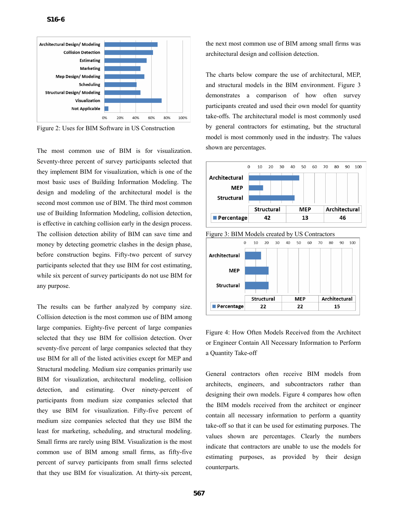

Figure 2: Uses for BIM Software in US Construction

The most common use of BIM is for visualization. Seventy-three percent of survey participants selected that they implement BIM for visualization, which is one of the most basic uses of Building Information Modeling. The design and modeling of the architectural model is the second most common use of BIM. The third most common use of Building Information Modeling, collision detection, is effective in catching collision early in the design process. The collision detection ability of BIM can save time and money by detecting geometric clashes in the design phase, before construction begins. Fifty-two percent of survey participants selected that they use BIM for cost estimating, while six percent of survey participants do not use BIM for any purpose.

The results can be further analyzed by company size. Collision detection is the most common use of BIM among large companies. Eighty-five percent of large companies selected that they use BIM for collision detection. Over seventy-five percent of large companies selected that they use BIM for all of the listed activities except for MEP and Structural modeling. Medium size companies primarily use BIM for visualization, architectural modeling, collision detection, and estimating. Over ninety-percent of participants from medium size companies selected that they use BIM for visualization. Fifty-five percent of medium size companies selected that they use BIM the least for marketing, scheduling, and structural modeling. Small firms are rarely using BIM. Visualization is the most common use of BIM among small firms, as fifty-five percent of survey participants from small firms selected that they use BIM for visualization. At thirty-six percent,

the next most common use of BIM among small firms was architectural design and collision detection.

The charts below compare the use of architectural, MEP, and structural models in the BIM environment. Figure 3 demonstrates a comparison of how often survey participants created and used their own model for quantity take-offs. The architectural model is most commonly used by general contractors for estimating, but the structural model is most commonly used in the industry. The values shown are percentages.



Figure 4: How Often Models Received from the Architect or Engineer Contain All Necessary Information to Perform a Quantity Take-off

General contractors often receive BIM models from architects, engineers, and subcontractors rather than designing their own models. Figure 4 compares how often the BIM models received from the architect or engineer contain all necessary information to perform a quantity take-off so that it can be used for estimating purposes. The values shown are percentages. Clearly the numbers indicate that contractors are unable to use the models for estimating purposes, as provided by their design counterparts.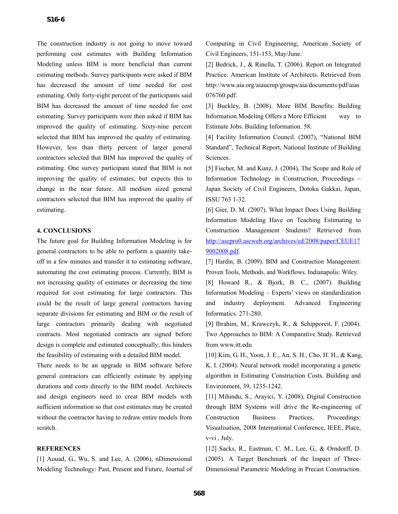The construction industry is not going to move toward performing cost estimates with Building Information Modeling unless BIM is more beneficial than current estimating methods. Survey participants were asked if BIM has decreased the amount of time needed for cost estimating. Only forty-eight percent of the participants said BIM has decreased the amount of time needed for cost estimating. Survey participants were then asked if BIM has improved the quality of estimating. Sixty-nine percent selected that BIM has improved the quality of estimating. However, less than thirty percent of larger general contractors selected that BIM has improved the quality of estimating. One survey participant stated that BIM is not improving the quality of estimates, but expects this to change in the near future. All medium sized general contractors selected that BIM has improved the quality of estimating.

#### **4. CONCLUSIONS**

The future goal for Building Information Modeling is for general contractors to be able to perform a quantity takeoff in a few minutes and transfer it to estimating software, automating the cost estimating process. Currently, BIM is not increasing quality of estimates or decreasing the time required for cost estimating for large contractors. This could be the result of large general contractors having separate divisions for estimating and BIM or the result of large contractors primarily dealing with negotiated contracts. Most negotiated contracts are signed before design is complete and estimated conceptually; this hinders the feasibility of estimating with a detailed BIM model.

There needs to be an upgrade in BIM software before general contractors can efficiently estimate by applying durations and costs directly to the BIM model. Architects and design engineers need to creat BIM models with sufficient information so that cost estimates may be created without the contractor having to redraw entire models from scratch.

#### **REFERENCES**

[1] Aouad, G., Wu, S. and Lee, A. (2006), nDimensional Modeling Technology: Past, Present and Future, Journal of Computing in Civil Engineering, American Society of Civil Engineers, 151-153, May/June.

[2] Bedrick, J., & Rinella, T. (2006). Report on Integrated Practice. American Institute of Architects. Retrieved from http://www.aia.org/aiaucmp/groups/aia/documents/pdf/aias 076760.pdf.

[3] Buckley, B. (2008). More BIM Benefits: Building Information Modeling Offers a More Efficient way to Estimate Jobs. Building Information. 58.

[4] Facility Information Council. (2007), "National BIM Standard", Technical Report, National Institute of Building Sciences.

[5] Fischer, M. and Kunz, J. (2004), The Scope and Role of Information Technology in Construction, Proceedings – Japan Society of Civil Engineers, Dotoku Gakkai, Japan, ISSU 763 1-32.

[6] Gier, D. M. (2007). What Impact Does Using Building Information Modeling Have on Teaching Estimating to Construction Management Students? Retrieved from http://ascpro0.ascweb.org/archives/cd/2008/paper/CEUE17 9002008.pdf.

[7] Hardin, B. (2009). BIM and Construction Management: Proven Tools, Methods, and Workflows. Indianapolis: Wiley.

[8] Howard R., & Bjork, B. C., (2007). Building Information Modeling – Experts' views on standardization and industry deployment. Advanced Engineering Informatics. 271-280.

[9] Ibrahim, M., Krawczyk, R., & Schipporeit, F. (2004). Two Approaches to BIM: A Comparative Study. Retrieved from www.itt.edu

[10] Kim, G. H., Yoon, J. E., An, S. H., Cho, H. H., & Kang, K. I. (2004). Neural network model incorporating a genetic algorithm in Estimating Construction Costs. Building and Environment, 39, 1235-1242.

[11] Mihindu, S., Arayici, Y. (2008), Digital Construction through BIM Systems will drive the Re-engineering of Construction Business Practices, Proceedings: Visualisation, 2008 International Conference, IEEE, Place, v-vi , July.

[12] Sacks, R., Eastman, C. M., Lee, G., & Orndorff, D. (2005). A Target Benchmark of the Impact of Three-Dimensional Parametric Modeling in Precast Construction.